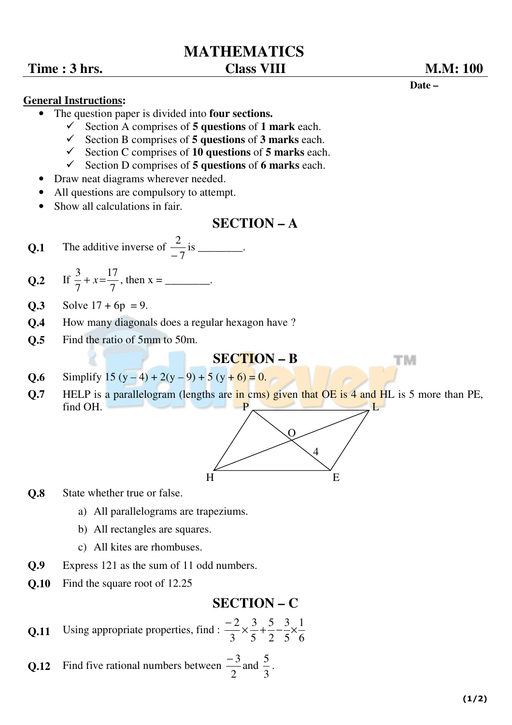# **MATHEMATICS**

## **Time : 3 hrs. Class VIII M.M: 100**

#### **General Instructions:**

- The question paper is divided into **four sections.** 
	- Section A comprises of **5 questions** of **1 mark** each.
	- $\checkmark$  Section B comprises of **5 questions** of **3 marks** each.
	- Section C comprises of **10 questions** of **5 marks** each.
	- $\checkmark$  Section D comprises of **5 questions** of **6 marks** each.
- Draw neat diagrams wherever needed.
- All questions are compulsory to attempt.
- Show all calculations in fair.

# **SECTION – A**

- **Q.1** The additive inverse of 7 2  $\frac{2}{-7}$  is \_\_\_\_\_\_\_\_.
- $Q.2$ 7 17 7  $\frac{3}{7} + x = \frac{17}{7}$ , then x = \_\_\_\_\_\_\_\_.
- **Q.3** Solve  $17 + 6p = 9$ .
- **Q.4** How many diagonals does a regular hexagon have ?
- **Q.5** Find the ratio of 5mm to 50m.

### **SECTION – B**

- **Q.6** Simplify  $15(y-4) + 2(y-9) + 5(y+6) = 0$ .
- **Q.7 HELP** is a parallelogram (lengths are in cms) given that OE is 4 and HL is 5 more than PE, find OH.  $P$  L



- **Q.8** State whether true or false.
	- a) All parallelograms are trapeziums.
	- b) All rectangles are squares.
	- c) All kites are rhombuses.
- **Q.9** Express 121 as the sum of 11 odd numbers.
- **Q.10** Find the square root of 12.25

# **SECTION – C**

**Q.11** Using appropriate properties, find :  $\frac{2}{3} \times \frac{5}{5} + \frac{5}{2} - \frac{5}{5} \times \frac{1}{6}$ 1 5 3 2 5 5 3 3  $2 \times 3 + 5 - 3 \times$ −

**Q.12** Find five rational numbers between 2 − 3 and 3 5 .



тм